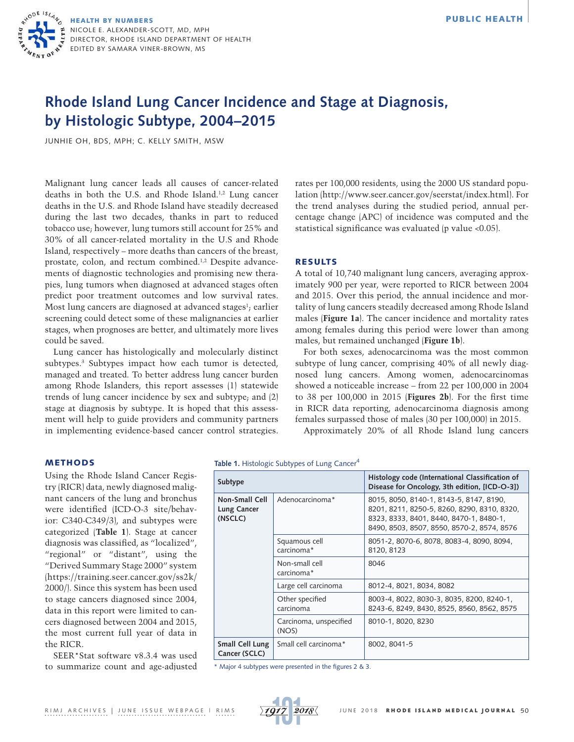

# **Rhode Island Lung Cancer Incidence and Stage at Diagnosis, by Histologic Subtype, 2004–2015**

JUNHIE OH, BDS, MPH; C. KELLY SMITH, MSW

Malignant lung cancer leads all causes of cancer-related deaths in both the U.S. and Rhode Island.1,2 Lung cancer deaths in the U.S. and Rhode Island have steadily decreased during the last two decades, thanks in part to reduced tobacco use; however, lung tumors still account for 25% and 30% of all cancer-related mortality in the U.S and Rhode Island, respectively – more deaths than cancers of the breast, prostate, colon, and rectum combined.1,2 Despite advancements of diagnostic technologies and promising new therapies, lung tumors when diagnosed at advanced stages often predict poor treatment outcomes and low survival rates. Most lung cancers are diagnosed at advanced stages<sup>1</sup>; earlier screening could detect some of these malignancies at earlier stages, when prognoses are better, and ultimately more lives could be saved.

Lung cancer has histologically and molecularly distinct subtypes.3 Subtypes impact how each tumor is detected, managed and treated. To better address lung cancer burden among Rhode Islanders, this report assesses (1) statewide trends of lung cancer incidence by sex and subtype; and (2) stage at diagnosis by subtype. It is hoped that this assessment will help to guide providers and community partners in implementing evidence-based cancer control strategies.

rates per 100,000 residents, using the 2000 US standard population [\(http://www.seer.cancer.gov/seerstat/index.html](http://www.seer.cancer.gov/seerstat/index.html)). For the trend analyses during the studied period, annual percentage change (APC) of incidence was computed and the statistical significance was evaluated (p value <0.05).

# RESULTS

A total of 10,740 malignant lung cancers, averaging approximately 900 per year, were reported to RICR between 2004 and 2015. Over this period, the annual incidence and mortality of lung cancers steadily decreased among Rhode Island males (**Figure 1a**). The cancer incidence and mortality rates among females during this period were lower than among males, but remained unchanged (**Figure 1b**).

For both sexes, adenocarcinoma was the most common subtype of lung cancer, comprising 40% of all newly diagnosed lung cancers. Among women, adenocarcinomas showed a noticeable increase – from 22 per 100,000 in 2004 to 38 per 100,000 in 2015 (**Figures 2b**). For the first time in RICR data reporting, adenocarcinoma diagnosis among females surpassed those of males (30 per 100,000) in 2015.

Approximately 20% of all Rhode Island lung cancers

## METHODS

Using the Rhode Island Cancer Registry (RICR) data, newly diagnosed malignant cancers of the lung and bronchus were identified (ICD-O-3 site/behavior: C340-C349/3), and subtypes were categorized (**Table 1**). Stage at cancer diagnosis was classified, as "localized", "regional" or "distant", using the "Derived Summary Stage 2000" system ([https://training.seer.cancer.gov/ss2k/](https://training.seer.cancer.gov/ss2k/2000/) [2000/\)](https://training.seer.cancer.gov/ss2k/2000/). Since this system has been used to stage cancers diagnosed since 2004, data in this report were limited to cancers diagnosed between 2004 and 2015, the most current full year of data in the RICR.

SEER\*Stat software v8.3.4 was used to summarize count and age-adjusted Table 1. Histologic Subtypes of Lung Cancer<sup>4</sup>

| Subtype                                         |                                 | Histology code (International Classification of<br>Disease for Oncology, 3th edition, [ICD-O-3])                                                                                |
|-------------------------------------------------|---------------------------------|---------------------------------------------------------------------------------------------------------------------------------------------------------------------------------|
| Non-Small Cell<br><b>Lung Cancer</b><br>(NSCLC) | Adenocarcinoma*                 | 8015, 8050, 8140-1, 8143-5, 8147, 8190,<br>8201, 8211, 8250-5, 8260, 8290, 8310, 8320,<br>8323, 8333, 8401, 8440, 8470-1, 8480-1,<br>8490, 8503, 8507, 8550, 8570-2, 8574, 8576 |
|                                                 | Squamous cell<br>carcinoma*     | 8051-2, 8070-6, 8078, 8083-4, 8090, 8094,<br>8120, 8123                                                                                                                         |
|                                                 | Non-small cell<br>carcinoma*    | 8046                                                                                                                                                                            |
|                                                 | Large cell carcinoma            | 8012-4, 8021, 8034, 8082                                                                                                                                                        |
|                                                 | Other specified<br>carcinoma    | 8003-4, 8022, 8030-3, 8035, 8200, 8240-1,<br>8243-6, 8249, 8430, 8525, 8560, 8562, 8575                                                                                         |
|                                                 | Carcinoma, unspecified<br>(NOS) | 8010-1, 8020, 8230                                                                                                                                                              |
| Small Cell Lung<br>Cancer (SCLC)                | Small cell carcinoma*           | 8002.8041-5                                                                                                                                                                     |

\* Major 4 subtypes were presented in the figures 2 & 3.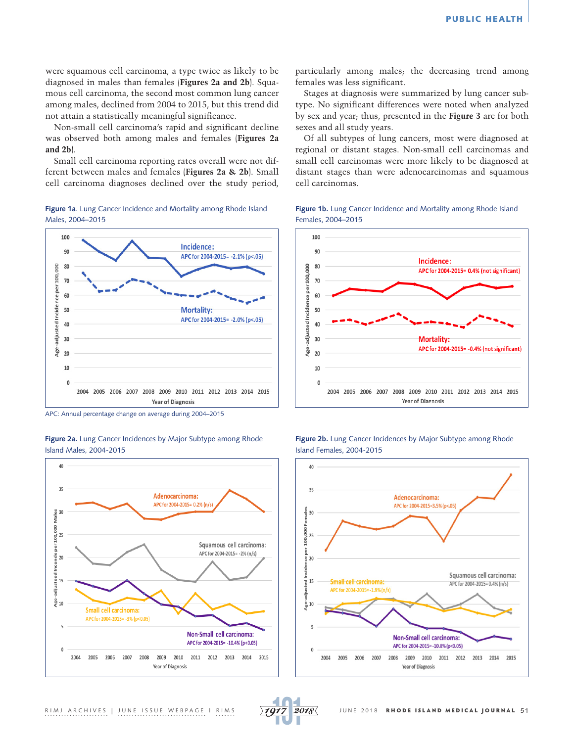were squamous cell carcinoma, a type twice as likely to be diagnosed in males than females (**Figures 2a and 2b**). Squamous cell carcinoma, the second most common lung cancer among males, declined from 2004 to 2015, but this trend did not attain a statistically meaningful significance.

Non-small cell carcinoma's rapid and significant decline was observed both among males and females (**Figures 2a and 2b**).

Small cell carcinoma reporting rates overall were not different between males and females (**Figures 2a & 2b**). Small cell carcinoma diagnoses declined over the study period,





APC: Annual percentage change on average during 2004–2015

**Figure 2a.** Lung Cancer Incidences by Major Subtype among Rhode Island Males, 2004-2015



particularly among males; the decreasing trend among females was less significant.

Stages at diagnosis were summarized by lung cancer subtype. No significant differences were noted when analyzed by sex and year; thus, presented in the **Figure 3** are for both sexes and all study years.

Of all subtypes of lung cancers, most were diagnosed at regional or distant stages. Non-small cell carcinomas and small cell carcinomas were more likely to be diagnosed at distant stages than were adenocarcinomas and squamous cell carcinomas.









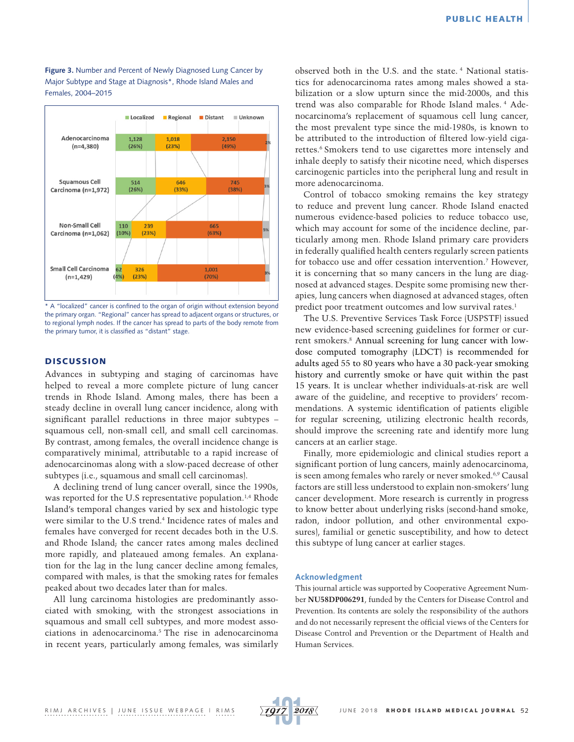**Figure 3.** Number and Percent of Newly Diagnosed Lung Cancer by Major Subtype and Stage at Diagnosis\*, Rhode Island Males and Females, 2004–2015



\* A "localized" cancer is confined to the organ of origin without extension beyond the primary organ. "Regional" cancer has spread to adjacent organs or structures, or to regional lymph nodes. If the cancer has spread to parts of the body remote from the primary tumor, it is classified as "distant" stage.

# **DISCUSSION**

Advances in subtyping and staging of carcinomas have helped to reveal a more complete picture of lung cancer trends in Rhode Island. Among males, there has been a steady decline in overall lung cancer incidence, along with significant parallel reductions in three major subtypes – squamous cell, non-small cell, and small cell carcinomas. By contrast, among females, the overall incidence change is comparatively minimal, attributable to a rapid increase of adenocarcinomas along with a slow-paced decrease of other subtypes (i.e., squamous and small cell carcinomas).

A declining trend of lung cancer overall, since the 1990s, was reported for the U.S representative population.<sup>1,4</sup> Rhode Island's temporal changes varied by sex and histologic type were similar to the U.S trend.4 Incidence rates of males and females have converged for recent decades both in the U.S. and Rhode Island; the cancer rates among males declined more rapidly, and plateaued among females. An explanation for the lag in the lung cancer decline among females, compared with males, is that the smoking rates for females peaked about two decades later than for males.

All lung carcinoma histologies are predominantly associated with smoking, with the strongest associations in squamous and small cell subtypes, and more modest associations in adenocarcinoma.5 The rise in adenocarcinoma in recent years, particularly among females, was similarly observed both in the U.S. and the state. 4 National statistics for adenocarcinoma rates among males showed a stabilization or a slow upturn since the mid-2000s, and this trend was also comparable for Rhode Island males. 4 Adenocarcinoma's replacement of squamous cell lung cancer, the most prevalent type since the mid-1980s, is known to be attributed to the introduction of filtered low-yield cigarettes.<sup>6</sup> Smokers tend to use cigarettes more intensely and inhale deeply to satisfy their nicotine need, which disperses carcinogenic particles into the peripheral lung and result in more adenocarcinoma.

Control of tobacco smoking remains the key strategy to reduce and prevent lung cancer. Rhode Island enacted numerous evidence-based policies to reduce tobacco use, which may account for some of the incidence decline, particularly among men. Rhode Island primary care providers in federally qualified health centers regularly screen patients for tobacco use and offer cessation intervention.7 However, it is concerning that so many cancers in the lung are diagnosed at advanced stages. Despite some promising new therapies, lung cancers when diagnosed at advanced stages, often predict poor treatment outcomes and low survival rates.<sup>1</sup>

The U.S. Preventive Services Task Force (USPSTF) issued new evidence-based screening guidelines for former or current smokers.8 Annual screening for lung cancer with lowdose computed tomography (LDCT) is recommended for adults aged 55 to 80 years who have a 30 pack-year smoking history and currently smoke or have quit within the past 15 years. It is unclear whether individuals-at-risk are well aware of the guideline, and receptive to providers' recommendations. A systemic identification of patients eligible for regular screening, utilizing electronic health records, should improve the screening rate and identify more lung cancers at an earlier stage.

Finally, more epidemiologic and clinical studies report a significant portion of lung cancers, mainly adenocarcinoma, is seen among females who rarely or never smoked.<sup>6,9</sup> Causal factors are still less understood to explain non-smokers' lung cancer development. More research is currently in progress to know better about underlying risks (second-hand smoke, radon, indoor pollution, and other environmental exposures), familial or genetic susceptibility, and how to detect this subtype of lung cancer at earlier stages.

#### **Acknowledgment**

This journal article was supported by Cooperative Agreement Number **NU58DP006291**, funded by the Centers for Disease Control and Prevention. Its contents are solely the responsibility of the authors and do not necessarily represent the official views of the Centers for Disease Control and Prevention or the Department of Health and Human Services.